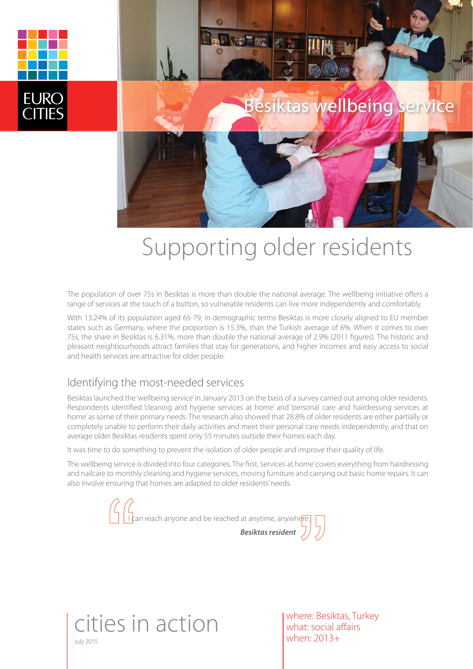

# Supporting older residents

The population of over 75s in Besiktas is more than double the national average. The wellbeing initiative offers a range of services at the touch of a button, so vulnerable residents can live more independently and comfortably.

With 13.24% of its population aged 65-79, in demographic terms Besiktas is more closely aligned to EU member states such as Germany, where the proportion is 15.3%, than the Turkish average of 6%. When it comes to over 75s, the share in Besiktas is 6.31%, more than double the national average of 2.9% (2011 figures). The historic and pleasant neighbourhoods attract families that stay for generations, and higher incomes and easy access to social and health services are attractive for older people.

#### Identifying the most-needed services

Besiktas launched the 'wellbeing service' in January 2013 on the basis of a survey carried out among older residents. Respondents identified 'cleaning and hygiene services at home' and 'personal care and hairdressing services at home' as some of their primary needs. The research also showed that 28.8% of older residents are either partially or completely unable to perform their daily activities and meet their personal care needs independently, and that on average older Besiktas residents spent only 55 minutes outside their homes each day.

It was time to do something to prevent the isolation of older people and improve their quality of life.

The wellbeing service is divided into four categories. The first, 'services at home' covers everything from hairdressing and nailcare to monthly cleaning and hygiene services, moving furniture and carrying out basic home repairs. It can also involve ensuring that homes are adapted to older residents' needs.



July 2015 cities in action where: Besiktas, Turkey what: social affairs when: 2013+